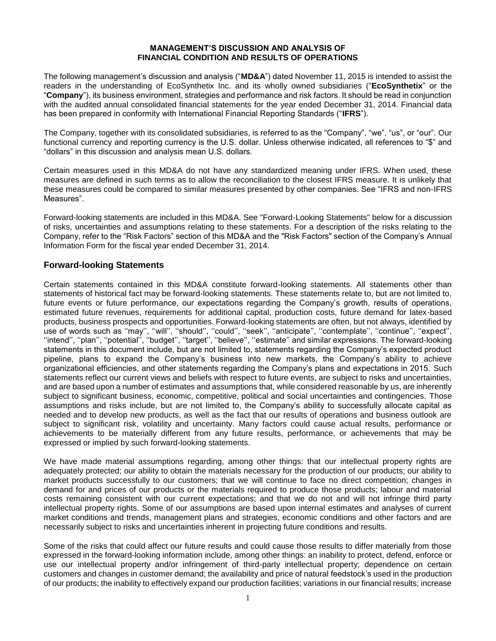## **MANAGEMENT'S DISCUSSION AND ANALYSIS OF FINANCIAL CONDITION AND RESULTS OF OPERATIONS**

The following management's discussion and analysis ("**MD&A**") dated November 11, 2015 is intended to assist the readers in the understanding of EcoSynthetix Inc. and its wholly owned subsidiaries ("**EcoSynthetix**" or the "**Company**"), its business environment, strategies and performance and risk factors. It should be read in conjunction with the audited annual consolidated financial statements for the year ended December 31, 2014. Financial data has been prepared in conformity with International Financial Reporting Standards ("**IFRS**").

The Company, together with its consolidated subsidiaries, is referred to as the "Company", "we", "us", or "our". Our functional currency and reporting currency is the U.S. dollar. Unless otherwise indicated, all references to "\$" and "dollars" in this discussion and analysis mean U.S. dollars.

Certain measures used in this MD&A do not have any standardized meaning under IFRS. When used, these measures are defined in such terms as to allow the reconciliation to the closest IFRS measure. It is unlikely that these measures could be compared to similar measures presented by other companies. See "IFRS and non-IFRS Measures".

Forward-looking statements are included in this MD&A. See "Forward-Looking Statements" below for a discussion of risks, uncertainties and assumptions relating to these statements. For a description of the risks relating to the Company, refer to the "Risk Factors" section of this MD&A and the "Risk Factors" section of the Company's Annual Information Form for the fiscal year ended December 31, 2014.

# **Forward-looking Statements**

Certain statements contained in this MD&A constitute forward-looking statements. All statements other than statements of historical fact may be forward-looking statements. These statements relate to, but are not limited to, future events or future performance, our expectations regarding the Company's growth, results of operations, estimated future revenues, requirements for additional capital, production costs, future demand for latex-based products, business prospects and opportunities. Forward-looking statements are often, but not always, identified by use of words such as ''may'', ''will'', ''should'', ''could'', ''seek'', ''anticipate'', ''contemplate'', ''continue'', ''expect'', ''intend'', ''plan'', ''potential'', ''budget'', ''target'', ''believe'', ''estimate'' and similar expressions. The forward-looking statements in this document include, but are not limited to, statements regarding the Company's expected product pipeline, plans to expand the Company's business into new markets, the Company's ability to achieve organizational efficiencies, and other statements regarding the Company's plans and expectations in 2015. Such statements reflect our current views and beliefs with respect to future events, are subject to risks and uncertainties, and are based upon a number of estimates and assumptions that, while considered reasonable by us, are inherently subject to significant business, economic, competitive, political and social uncertainties and contingencies. Those assumptions and risks include, but are not limited to, the Company's ability to successfully allocate capital as needed and to develop new products, as well as the fact that our results of operations and business outlook are subject to significant risk, volatility and uncertainty. Many factors could cause actual results, performance or achievements to be materially different from any future results, performance, or achievements that may be expressed or implied by such forward-looking statements.

We have made material assumptions regarding, among other things: that our intellectual property rights are adequately protected; our ability to obtain the materials necessary for the production of our products; our ability to market products successfully to our customers; that we will continue to face no direct competition; changes in demand for and prices of our products or the materials required to produce those products; labour and material costs remaining consistent with our current expectations; and that we do not and will not infringe third party intellectual property rights. Some of our assumptions are based upon internal estimates and analyses of current market conditions and trends, management plans and strategies, economic conditions and other factors and are necessarily subject to risks and uncertainties inherent in projecting future conditions and results.

Some of the risks that could affect our future results and could cause those results to differ materially from those expressed in the forward-looking information include, among other things: an inability to protect, defend, enforce or use our intellectual property and/or infringement of third-party intellectual property; dependence on certain customers and changes in customer demand; the availability and price of natural feedstock's used in the production of our products; the inability to effectively expand our production facilities; variations in our financial results; increase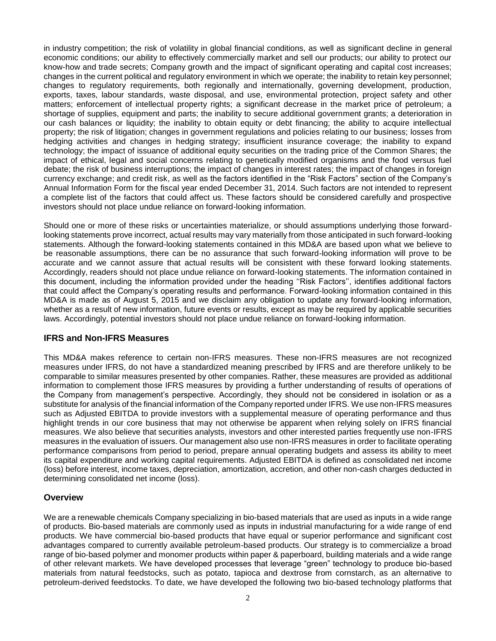in industry competition; the risk of volatility in global financial conditions, as well as significant decline in general economic conditions; our ability to effectively commercially market and sell our products; our ability to protect our know-how and trade secrets; Company growth and the impact of significant operating and capital cost increases; changes in the current political and regulatory environment in which we operate; the inability to retain key personnel; changes to regulatory requirements, both regionally and internationally, governing development, production, exports, taxes, labour standards, waste disposal, and use, environmental protection, project safety and other matters; enforcement of intellectual property rights; a significant decrease in the market price of petroleum; a shortage of supplies, equipment and parts; the inability to secure additional government grants; a deterioration in our cash balances or liquidity; the inability to obtain equity or debt financing; the ability to acquire intellectual property; the risk of litigation; changes in government regulations and policies relating to our business; losses from hedging activities and changes in hedging strategy; insufficient insurance coverage; the inability to expand technology; the impact of issuance of additional equity securities on the trading price of the Common Shares; the impact of ethical, legal and social concerns relating to genetically modified organisms and the food versus fuel debate; the risk of business interruptions; the impact of changes in interest rates; the impact of changes in foreign currency exchange; and credit risk, as well as the factors identified in the "Risk Factors" section of the Company's Annual Information Form for the fiscal year ended December 31, 2014. Such factors are not intended to represent a complete list of the factors that could affect us. These factors should be considered carefully and prospective investors should not place undue reliance on forward-looking information.

Should one or more of these risks or uncertainties materialize, or should assumptions underlying those forwardlooking statements prove incorrect, actual results may vary materially from those anticipated in such forward-looking statements. Although the forward-looking statements contained in this MD&A are based upon what we believe to be reasonable assumptions, there can be no assurance that such forward-looking information will prove to be accurate and we cannot assure that actual results will be consistent with these forward looking statements. Accordingly, readers should not place undue reliance on forward-looking statements. The information contained in this document, including the information provided under the heading ''Risk Factors'', identifies additional factors that could affect the Company's operating results and performance. Forward-looking information contained in this MD&A is made as of August 5, 2015 and we disclaim any obligation to update any forward-looking information, whether as a result of new information, future events or results, except as may be required by applicable securities laws. Accordingly, potential investors should not place undue reliance on forward-looking information.

# **IFRS and Non-IFRS Measures**

This MD&A makes reference to certain non-IFRS measures. These non-IFRS measures are not recognized measures under IFRS, do not have a standardized meaning prescribed by IFRS and are therefore unlikely to be comparable to similar measures presented by other companies. Rather, these measures are provided as additional information to complement those IFRS measures by providing a further understanding of results of operations of the Company from management's perspective. Accordingly, they should not be considered in isolation or as a substitute for analysis of the financial information of the Company reported under IFRS. We use non-IFRS measures such as Adjusted EBITDA to provide investors with a supplemental measure of operating performance and thus highlight trends in our core business that may not otherwise be apparent when relying solely on IFRS financial measures. We also believe that securities analysts, investors and other interested parties frequently use non-IFRS measures in the evaluation of issuers. Our management also use non-IFRS measures in order to facilitate operating performance comparisons from period to period, prepare annual operating budgets and assess its ability to meet its capital expenditure and working capital requirements. Adjusted EBITDA is defined as consolidated net income (loss) before interest, income taxes, depreciation, amortization, accretion, and other non-cash charges deducted in determining consolidated net income (loss).

## **Overview**

We are a renewable chemicals Company specializing in bio-based materials that are used as inputs in a wide range of products. Bio-based materials are commonly used as inputs in industrial manufacturing for a wide range of end products. We have commercial bio-based products that have equal or superior performance and significant cost advantages compared to currently available petroleum-based products. Our strategy is to commercialize a broad range of bio-based polymer and monomer products within paper & paperboard, building materials and a wide range of other relevant markets. We have developed processes that leverage "green" technology to produce bio-based materials from natural feedstocks, such as potato, tapioca and dextrose from cornstarch, as an alternative to petroleum-derived feedstocks. To date, we have developed the following two bio-based technology platforms that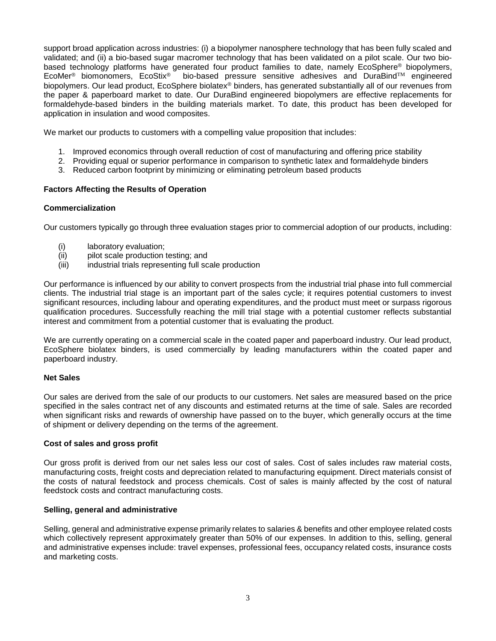support broad application across industries: (i) a biopolymer nanosphere technology that has been fully scaled and validated; and (ii) a bio-based sugar macromer technology that has been validated on a pilot scale. Our two biobased technology platforms have generated four product families to date, namely EcoSphere<sup>®</sup> biopolymers, EcoStix<sup>®</sup> bio-based pressure sensitive adhesives and DuraBind<sup>TM</sup> engineered bio-based pressure sensitive adhesives and DuraBind<sup>TM</sup> engineered biopolymers. Our lead product, EcoSphere biolatex® binders, has generated substantially all of our revenues from the paper & paperboard market to date. Our DuraBind engineered biopolymers are effective replacements for formaldehyde-based binders in the building materials market. To date, this product has been developed for application in insulation and wood composites.

We market our products to customers with a compelling value proposition that includes:

- 1. Improved economics through overall reduction of cost of manufacturing and offering price stability
- 2. Providing equal or superior performance in comparison to synthetic latex and formaldehyde binders
- 3. Reduced carbon footprint by minimizing or eliminating petroleum based products

# **Factors Affecting the Results of Operation**

## **Commercialization**

Our customers typically go through three evaluation stages prior to commercial adoption of our products, including:

- (i) laboratory evaluation;
- (ii) pilot scale production testing; and
- (iii) industrial trials representing full scale production

Our performance is influenced by our ability to convert prospects from the industrial trial phase into full commercial clients. The industrial trial stage is an important part of the sales cycle; it requires potential customers to invest significant resources, including labour and operating expenditures, and the product must meet or surpass rigorous qualification procedures. Successfully reaching the mill trial stage with a potential customer reflects substantial interest and commitment from a potential customer that is evaluating the product.

We are currently operating on a commercial scale in the coated paper and paperboard industry. Our lead product, EcoSphere biolatex binders, is used commercially by leading manufacturers within the coated paper and paperboard industry.

## **Net Sales**

Our sales are derived from the sale of our products to our customers. Net sales are measured based on the price specified in the sales contract net of any discounts and estimated returns at the time of sale. Sales are recorded when significant risks and rewards of ownership have passed on to the buyer, which generally occurs at the time of shipment or delivery depending on the terms of the agreement.

## **Cost of sales and gross profit**

Our gross profit is derived from our net sales less our cost of sales. Cost of sales includes raw material costs, manufacturing costs, freight costs and depreciation related to manufacturing equipment. Direct materials consist of the costs of natural feedstock and process chemicals. Cost of sales is mainly affected by the cost of natural feedstock costs and contract manufacturing costs.

## **Selling, general and administrative**

Selling, general and administrative expense primarily relates to salaries & benefits and other employee related costs which collectively represent approximately greater than 50% of our expenses. In addition to this, selling, general and administrative expenses include: travel expenses, professional fees, occupancy related costs, insurance costs and marketing costs.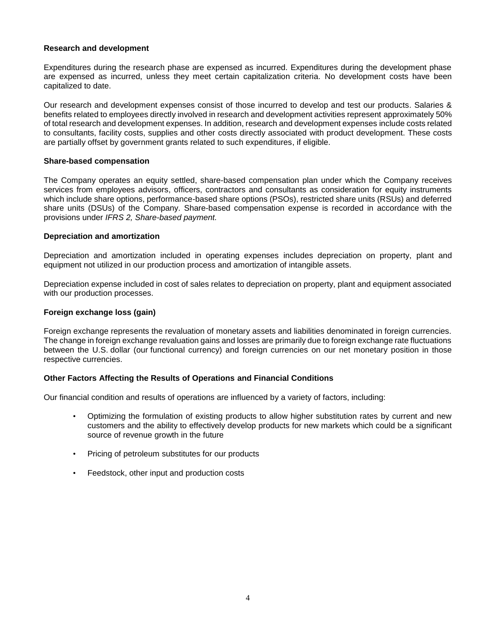## **Research and development**

Expenditures during the research phase are expensed as incurred. Expenditures during the development phase are expensed as incurred, unless they meet certain capitalization criteria*.* No development costs have been capitalized to date.

Our research and development expenses consist of those incurred to develop and test our products. Salaries & benefits related to employees directly involved in research and development activities represent approximately 50% of total research and development expenses. In addition, research and development expenses include costs related to consultants, facility costs, supplies and other costs directly associated with product development. These costs are partially offset by government grants related to such expenditures, if eligible.

## **Share-based compensation**

The Company operates an equity settled, share-based compensation plan under which the Company receives services from employees advisors, officers, contractors and consultants as consideration for equity instruments which include share options, performance-based share options (PSOs), restricted share units (RSUs) and deferred share units (DSUs) of the Company. Share-based compensation expense is recorded in accordance with the provisions under *IFRS 2, Share-based payment.*

# **Depreciation and amortization**

Depreciation and amortization included in operating expenses includes depreciation on property, plant and equipment not utilized in our production process and amortization of intangible assets.

Depreciation expense included in cost of sales relates to depreciation on property, plant and equipment associated with our production processes.

# **Foreign exchange loss (gain)**

Foreign exchange represents the revaluation of monetary assets and liabilities denominated in foreign currencies. The change in foreign exchange revaluation gains and losses are primarily due to foreign exchange rate fluctuations between the U.S. dollar (our functional currency) and foreign currencies on our net monetary position in those respective currencies.

# **Other Factors Affecting the Results of Operations and Financial Conditions**

Our financial condition and results of operations are influenced by a variety of factors, including:

- Optimizing the formulation of existing products to allow higher substitution rates by current and new customers and the ability to effectively develop products for new markets which could be a significant source of revenue growth in the future
- Pricing of petroleum substitutes for our products
- Feedstock, other input and production costs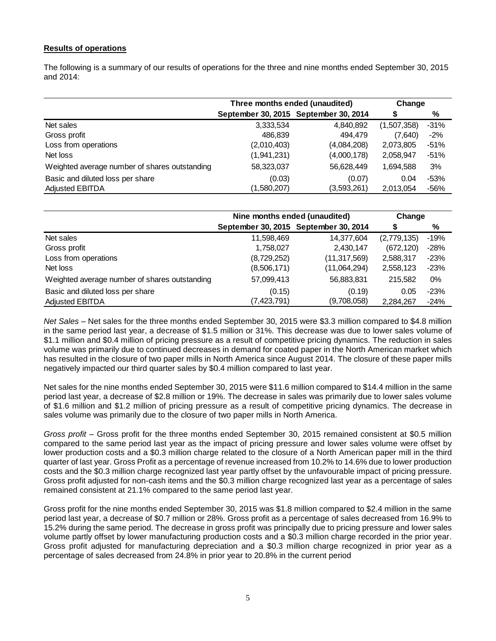# **Results of operations**

The following is a summary of our results of operations for the three and nine months ended September 30, 2015 and 2014:

|                                               | Three months ended (unaudited) | Change                                |             |        |
|-----------------------------------------------|--------------------------------|---------------------------------------|-------------|--------|
|                                               |                                | September 30, 2015 September 30, 2014 | S           | %      |
| Net sales                                     | 3,333,534                      | 4,840,892                             | (1,507,358) | $-31%$ |
| Gross profit                                  | 486,839                        | 494.479                               | (7,640)     | $-2%$  |
| Loss from operations                          | (2,010,403)                    | (4,084,208)                           | 2,073,805   | $-51%$ |
| Net loss                                      | (1,941,231)                    | (4,000,178)                           | 2,058,947   | -51%   |
| Weighted average number of shares outstanding | 58,323,037                     | 56,628,449                            | 1,694,588   | 3%     |
| Basic and diluted loss per share              | (0.03)                         | (0.07)                                | 0.04        | $-53%$ |
| <b>Adjusted EBITDA</b>                        | (1,580,207)                    | (3,593,261)                           | 2,013,054   | $-56%$ |

|                                               | Nine months ended (unaudited) | Change                                |             |        |
|-----------------------------------------------|-------------------------------|---------------------------------------|-------------|--------|
|                                               |                               | September 30, 2015 September 30, 2014 | S           | %      |
| Net sales                                     | 11,598,469                    | 14,377,604                            | (2,779,135) | $-19%$ |
| Gross profit                                  | 1,758,027                     | 2,430,147                             | (672, 120)  | $-28%$ |
| Loss from operations                          | (8,729,252)                   | (11,317,569)                          | 2,588,317   | $-23%$ |
| Net loss                                      | (8,506,171)                   | (11,064,294)                          | 2,558,123   | $-23%$ |
| Weighted average number of shares outstanding | 57,099,413                    | 56,883,831                            | 215.582     | $0\%$  |
| Basic and diluted loss per share              | (0.15)                        | (0.19)                                | 0.05        | $-23%$ |
| <b>Adjusted EBITDA</b>                        | (7,423,791)                   | (9,708,058)                           | 2,284,267   | $-24%$ |

*Net Sales –* Net sales for the three months ended September 30, 2015 were \$3.3 million compared to \$4.8 million in the same period last year, a decrease of \$1.5 million or 31%. This decrease was due to lower sales volume of \$1.1 million and \$0.4 million of pricing pressure as a result of competitive pricing dynamics. The reduction in sales volume was primarily due to continued decreases in demand for coated paper in the North American market which has resulted in the closure of two paper mills in North America since August 2014. The closure of these paper mills negatively impacted our third quarter sales by \$0.4 million compared to last year.

Net sales for the nine months ended September 30, 2015 were \$11.6 million compared to \$14.4 million in the same period last year, a decrease of \$2.8 million or 19%. The decrease in sales was primarily due to lower sales volume of \$1.6 million and \$1.2 million of pricing pressure as a result of competitive pricing dynamics. The decrease in sales volume was primarily due to the closure of two paper mills in North America.

*Gross profit –* Gross profit for the three months ended September 30, 2015 remained consistent at \$0.5 million compared to the same period last year as the impact of pricing pressure and lower sales volume were offset by lower production costs and a \$0.3 million charge related to the closure of a North American paper mill in the third quarter of last year. Gross Profit as a percentage of revenue increased from 10.2% to 14.6% due to lower production costs and the \$0.3 million charge recognized last year partly offset by the unfavourable impact of pricing pressure. Gross profit adjusted for non-cash items and the \$0.3 million charge recognized last year as a percentage of sales remained consistent at 21.1% compared to the same period last year.

Gross profit for the nine months ended September 30, 2015 was \$1.8 million compared to \$2.4 million in the same period last year, a decrease of \$0.7 million or 28%. Gross profit as a percentage of sales decreased from 16.9% to 15.2% during the same period. The decrease in gross profit was principally due to pricing pressure and lower sales volume partly offset by lower manufacturing production costs and a \$0.3 million charge recorded in the prior year. Gross profit adjusted for manufacturing depreciation and a \$0.3 million charge recognized in prior year as a percentage of sales decreased from 24.8% in prior year to 20.8% in the current period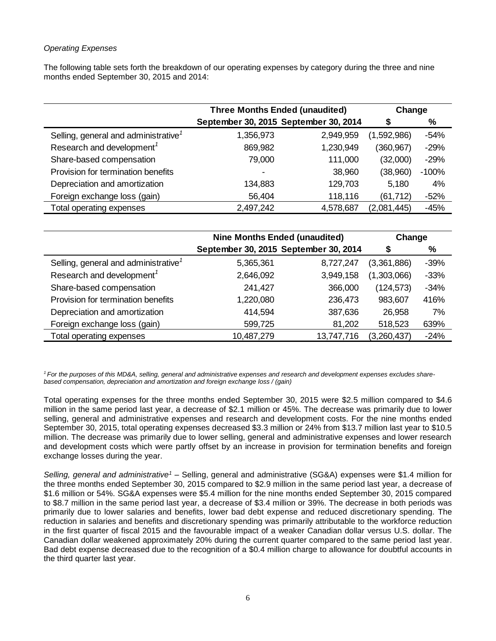# *Operating Expenses*

The following table sets forth the breakdown of our operating expenses by category during the three and nine months ended September 30, 2015 and 2014:

|                                                  | <b>Three Months Ended (unaudited)</b> | Change    |             |         |
|--------------------------------------------------|---------------------------------------|-----------|-------------|---------|
|                                                  | September 30, 2015 September 30, 2014 |           | S           | %       |
| Selling, general and administrative <sup>1</sup> | 1,356,973                             | 2,949,959 | (1,592,986) | $-54%$  |
| Research and development <sup>1</sup>            | 869,982                               | 1,230,949 | (360, 967)  | $-29%$  |
| Share-based compensation                         | 79,000                                | 111,000   | (32,000)    | $-29%$  |
| Provision for termination benefits               |                                       | 38,960    | (38,960)    | $-100%$ |
| Depreciation and amortization                    | 134,883                               | 129,703   | 5,180       | 4%      |
| Foreign exchange loss (gain)                     | 56,404                                | 118,116   | (61, 712)   | $-52%$  |
| Total operating expenses                         | 2,497,242                             | 4,578,687 | (2,081,445) | $-45%$  |

|                                                  | <b>Nine Months Ended (unaudited)</b>  | Change     |             |        |
|--------------------------------------------------|---------------------------------------|------------|-------------|--------|
|                                                  | September 30, 2015 September 30, 2014 | S          | %           |        |
| Selling, general and administrative <sup>7</sup> | 5,365,361                             | 8,727,247  | (3,361,886) | $-39%$ |
| Research and development <sup>1</sup>            | 2,646,092                             | 3,949,158  | (1,303,066) | $-33%$ |
| Share-based compensation                         | 241,427                               | 366,000    | (124, 573)  | $-34%$ |
| Provision for termination benefits               | 1,220,080                             | 236,473    | 983,607     | 416%   |
| Depreciation and amortization                    | 414,594                               | 387,636    | 26,958      | 7%     |
| Foreign exchange loss (gain)                     | 599,725                               | 81,202     | 518,523     | 639%   |
| Total operating expenses                         | 10,487,279                            | 13,747,716 | (3,260,437) | $-24%$ |

*1 For the purposes of this MD&A, selling, general and administrative expenses and research and development expenses excludes sharebased compensation, depreciation and amortization and foreign exchange loss / (gain)*

Total operating expenses for the three months ended September 30, 2015 were \$2.5 million compared to \$4.6 million in the same period last year, a decrease of \$2.1 million or 45%. The decrease was primarily due to lower selling, general and administrative expenses and research and development costs. For the nine months ended September 30, 2015, total operating expenses decreased \$3.3 million or 24% from \$13.7 million last year to \$10.5 million. The decrease was primarily due to lower selling, general and administrative expenses and lower research and development costs which were partly offset by an increase in provision for termination benefits and foreign exchange losses during the year.

*Selling, general and administrative<sup>1</sup> –* Selling, general and administrative (SG&A) expenses were \$1.4 million for the three months ended September 30, 2015 compared to \$2.9 million in the same period last year, a decrease of \$1.6 million or 54%. SG&A expenses were \$5.4 million for the nine months ended September 30, 2015 compared to \$8.7 million in the same period last year, a decrease of \$3.4 million or 39%. The decrease in both periods was primarily due to lower salaries and benefits, lower bad debt expense and reduced discretionary spending. The reduction in salaries and benefits and discretionary spending was primarily attributable to the workforce reduction in the first quarter of fiscal 2015 and the favourable impact of a weaker Canadian dollar versus U.S. dollar. The Canadian dollar weakened approximately 20% during the current quarter compared to the same period last year. Bad debt expense decreased due to the recognition of a \$0.4 million charge to allowance for doubtful accounts in the third quarter last year.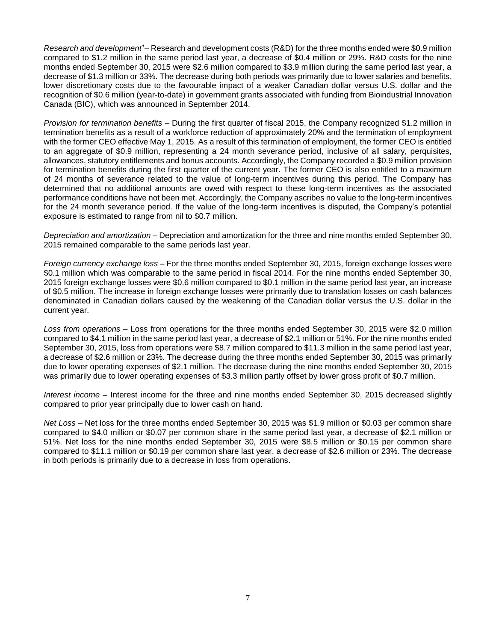*Research and development<sup>1</sup>–* Research and development costs (R&D) for the three months ended were \$0.9 million compared to \$1.2 million in the same period last year, a decrease of \$0.4 million or 29%. R&D costs for the nine months ended September 30, 2015 were \$2.6 million compared to \$3.9 million during the same period last year, a decrease of \$1.3 million or 33%. The decrease during both periods was primarily due to lower salaries and benefits, lower discretionary costs due to the favourable impact of a weaker Canadian dollar versus U.S. dollar and the recognition of \$0.6 million (year-to-date) in government grants associated with funding from Bioindustrial Innovation Canada (BIC), which was announced in September 2014.

*Provision for termination benefits –* During the first quarter of fiscal 2015, the Company recognized \$1.2 million in termination benefits as a result of a workforce reduction of approximately 20% and the termination of employment with the former CEO effective May 1, 2015. As a result of this termination of employment, the former CEO is entitled to an aggregate of \$0.9 million, representing a 24 month severance period, inclusive of all salary, perquisites, allowances, statutory entitlements and bonus accounts. Accordingly, the Company recorded a \$0.9 million provision for termination benefits during the first quarter of the current year. The former CEO is also entitled to a maximum of 24 months of severance related to the value of long-term incentives during this period. The Company has determined that no additional amounts are owed with respect to these long-term incentives as the associated performance conditions have not been met. Accordingly, the Company ascribes no value to the long-term incentives for the 24 month severance period. If the value of the long-term incentives is disputed, the Company's potential exposure is estimated to range from nil to \$0.7 million.

*Depreciation and amortization –* Depreciation and amortization for the three and nine months ended September 30, 2015 remained comparable to the same periods last year.

*Foreign currency exchange loss –* For the three months ended September 30, 2015, foreign exchange losses were \$0.1 million which was comparable to the same period in fiscal 2014. For the nine months ended September 30, 2015 foreign exchange losses were \$0.6 million compared to \$0.1 million in the same period last year, an increase of \$0.5 million. The increase in foreign exchange losses were primarily due to translation losses on cash balances denominated in Canadian dollars caused by the weakening of the Canadian dollar versus the U.S. dollar in the current year.

*Loss from operations –* Loss from operations for the three months ended September 30, 2015 were \$2.0 million compared to \$4.1 million in the same period last year, a decrease of \$2.1 million or 51%. For the nine months ended September 30, 2015, loss from operations were \$8.7 million compared to \$11.3 million in the same period last year, a decrease of \$2.6 million or 23%. The decrease during the three months ended September 30, 2015 was primarily due to lower operating expenses of \$2.1 million. The decrease during the nine months ended September 30, 2015 was primarily due to lower operating expenses of \$3.3 million partly offset by lower gross profit of \$0.7 million.

*Interest income –* Interest income for the three and nine months ended September 30, 2015 decreased slightly compared to prior year principally due to lower cash on hand.

*Net Loss –* Net loss for the three months ended September 30, 2015 was \$1.9 million or \$0.03 per common share compared to \$4.0 million or \$0.07 per common share in the same period last year, a decrease of \$2.1 million or 51%. Net loss for the nine months ended September 30, 2015 were \$8.5 million or \$0.15 per common share compared to \$11.1 million or \$0.19 per common share last year, a decrease of \$2.6 million or 23%. The decrease in both periods is primarily due to a decrease in loss from operations.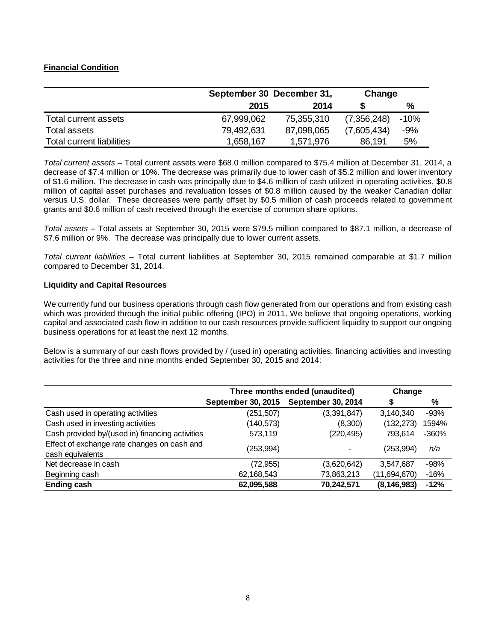# **Financial Condition**

|                           |            | September 30 December 31, |             |        |
|---------------------------|------------|---------------------------|-------------|--------|
|                           | 2015       | 2014                      |             | ℅      |
| Total current assets      | 67,999,062 | 75,355,310                | (7,356,248) | $-10%$ |
| Total assets              | 79,492,631 | 87,098,065                | (7,605,434) | $-9%$  |
| Total current liabilities | 1,658,167  | 1,571,976                 | 86,191      | 5%     |

*Total current assets –* Total current assets were \$68.0 million compared to \$75.4 million at December 31, 2014, a decrease of \$7.4 million or 10%. The decrease was primarily due to lower cash of \$5.2 million and lower inventory of \$1.6 million. The decrease in cash was principally due to \$4.6 million of cash utilized in operating activities, \$0.8 million of capital asset purchases and revaluation losses of \$0.8 million caused by the weaker Canadian dollar versus U.S. dollar. These decreases were partly offset by \$0.5 million of cash proceeds related to government grants and \$0.6 million of cash received through the exercise of common share options.

*Total assets –* Total assets at September 30, 2015 were \$79.5 million compared to \$87.1 million, a decrease of \$7.6 million or 9%. The decrease was principally due to lower current assets.

*Total current liabilities –* Total current liabilities at September 30, 2015 remained comparable at \$1.7 million compared to December 31, 2014.

# **Liquidity and Capital Resources**

We currently fund our business operations through cash flow generated from our operations and from existing cash which was provided through the initial public offering (IPO) in 2011. We believe that ongoing operations, working capital and associated cash flow in addition to our cash resources provide sufficient liquidity to support our ongoing business operations for at least the next 12 months.

Below is a summary of our cash flows provided by / (used in) operating activities, financing activities and investing activities for the three and nine months ended September 30, 2015 and 2014:

|                                                                 | Three months ended (unaudited) | Change             |               |        |
|-----------------------------------------------------------------|--------------------------------|--------------------|---------------|--------|
|                                                                 | September 30, 2015             | September 30, 2014 |               | %      |
| Cash used in operating activities                               | (251, 507)                     | (3,391,847)        | 3,140,340     | $-93%$ |
| Cash used in investing activities                               | (140, 573)                     | (8,300)            | (132, 273)    | 1594%  |
| Cash provided by/(used in) financing activities                 | 573,119                        | (220, 495)         | 793.614       | -360%  |
| Effect of exchange rate changes on cash and<br>cash equivalents | (253, 994)                     |                    | (253,994)     | n/a    |
| Net decrease in cash                                            | (72, 955)                      | (3,620,642)        | 3,547,687     | $-98%$ |
| Beginning cash                                                  | 62,168,543                     | 73,863,213         | (11,694,670)  | $-16%$ |
| <b>Ending cash</b>                                              | 62,095,588                     | 70,242,571         | (8, 146, 983) | $-12%$ |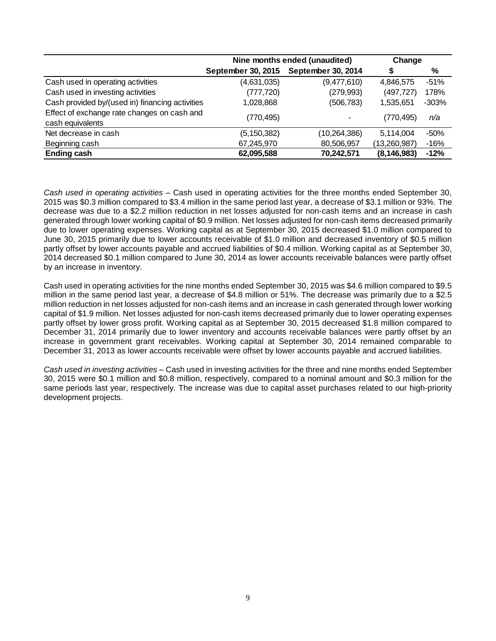|                                                                 | Nine months ended (unaudited) | Change             |               |         |
|-----------------------------------------------------------------|-------------------------------|--------------------|---------------|---------|
|                                                                 | September 30, 2015            | September 30, 2014 | S             | %       |
| Cash used in operating activities                               | (4,631,035)                   | (9,477,610)        | 4,846,575     | $-51%$  |
| Cash used in investing activities                               | (777, 720)                    | (279, 993)         | (497, 727)    | 178%    |
| Cash provided by/(used in) financing activities                 | 1,028,868                     | (506,783)          | 1,535,651     | $-303%$ |
| Effect of exchange rate changes on cash and<br>cash equivalents | (770, 495)                    |                    | (770,495)     | n/a     |
| Net decrease in cash                                            | (5, 150, 382)                 | (10, 264, 386)     | 5,114,004     | $-50%$  |
| Beginning cash                                                  | 67,245,970                    | 80,506,957         | (13,260,987)  | $-16%$  |
| <b>Ending cash</b>                                              | 62,095,588                    | 70,242,571         | (8, 146, 983) | $-12%$  |

*Cash used in operating activities –* Cash used in operating activities for the three months ended September 30, 2015 was \$0.3 million compared to \$3.4 million in the same period last year, a decrease of \$3.1 million or 93%. The decrease was due to a \$2.2 million reduction in net losses adjusted for non-cash items and an increase in cash generated through lower working capital of \$0.9 million. Net losses adjusted for non-cash items decreased primarily due to lower operating expenses. Working capital as at September 30, 2015 decreased \$1.0 million compared to June 30, 2015 primarily due to lower accounts receivable of \$1.0 million and decreased inventory of \$0.5 million partly offset by lower accounts payable and accrued liabilities of \$0.4 million. Working capital as at September 30, 2014 decreased \$0.1 million compared to June 30, 2014 as lower accounts receivable balances were partly offset by an increase in inventory.

Cash used in operating activities for the nine months ended September 30, 2015 was \$4.6 million compared to \$9.5 million in the same period last year, a decrease of \$4.8 million or 51%. The decrease was primarily due to a \$2.5 million reduction in net losses adjusted for non-cash items and an increase in cash generated through lower working capital of \$1.9 million. Net losses adjusted for non-cash items decreased primarily due to lower operating expenses partly offset by lower gross profit. Working capital as at September 30, 2015 decreased \$1.8 million compared to December 31, 2014 primarily due to lower inventory and accounts receivable balances were partly offset by an increase in government grant receivables. Working capital at September 30, 2014 remained comparable to December 31, 2013 as lower accounts receivable were offset by lower accounts payable and accrued liabilities.

*Cash used in investing activities –* Cash used in investing activities for the three and nine months ended September 30, 2015 were \$0.1 million and \$0.8 million, respectively, compared to a nominal amount and \$0.3 million for the same periods last year, respectively. The increase was due to capital asset purchases related to our high-priority development projects.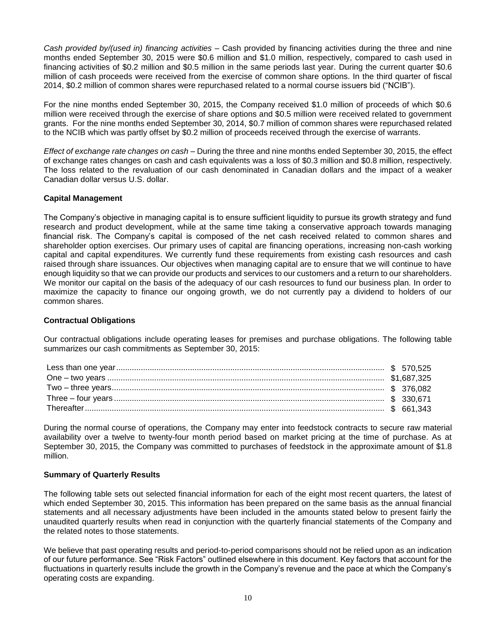*Cash provided by/(used in) financing activities –* Cash provided by financing activities during the three and nine months ended September 30, 2015 were \$0.6 million and \$1.0 million, respectively, compared to cash used in financing activities of \$0.2 million and \$0.5 million in the same periods last year. During the current quarter \$0.6 million of cash proceeds were received from the exercise of common share options. In the third quarter of fiscal 2014, \$0.2 million of common shares were repurchased related to a normal course issuers bid ("NCIB").

For the nine months ended September 30, 2015, the Company received \$1.0 million of proceeds of which \$0.6 million were received through the exercise of share options and \$0.5 million were received related to government grants. For the nine months ended September 30, 2014, \$0.7 million of common shares were repurchased related to the NCIB which was partly offset by \$0.2 million of proceeds received through the exercise of warrants.

*Effect of exchange rate changes on cash –* During the three and nine months ended September 30, 2015, the effect of exchange rates changes on cash and cash equivalents was a loss of \$0.3 million and \$0.8 million, respectively. The loss related to the revaluation of our cash denominated in Canadian dollars and the impact of a weaker Canadian dollar versus U.S. dollar.

# **Capital Management**

The Company's objective in managing capital is to ensure sufficient liquidity to pursue its growth strategy and fund research and product development, while at the same time taking a conservative approach towards managing financial risk. The Company's capital is composed of the net cash received related to common shares and shareholder option exercises. Our primary uses of capital are financing operations, increasing non-cash working capital and capital expenditures. We currently fund these requirements from existing cash resources and cash raised through share issuances. Our objectives when managing capital are to ensure that we will continue to have enough liquidity so that we can provide our products and services to our customers and a return to our shareholders. We monitor our capital on the basis of the adequacy of our cash resources to fund our business plan. In order to maximize the capacity to finance our ongoing growth, we do not currently pay a dividend to holders of our common shares.

## **Contractual Obligations**

Our contractual obligations include operating leases for premises and purchase obligations. The following table summarizes our cash commitments as September 30, 2015:

During the normal course of operations, the Company may enter into feedstock contracts to secure raw material availability over a twelve to twenty-four month period based on market pricing at the time of purchase. As at September 30, 2015, the Company was committed to purchases of feedstock in the approximate amount of \$1.8 million.

## **Summary of Quarterly Results**

The following table sets out selected financial information for each of the eight most recent quarters, the latest of which ended September 30, 2015. This information has been prepared on the same basis as the annual financial statements and all necessary adjustments have been included in the amounts stated below to present fairly the unaudited quarterly results when read in conjunction with the quarterly financial statements of the Company and the related notes to those statements.

We believe that past operating results and period-to-period comparisons should not be relied upon as an indication of our future performance. See "Risk Factors" outlined elsewhere in this document. Key factors that account for the fluctuations in quarterly results include the growth in the Company's revenue and the pace at which the Company's operating costs are expanding.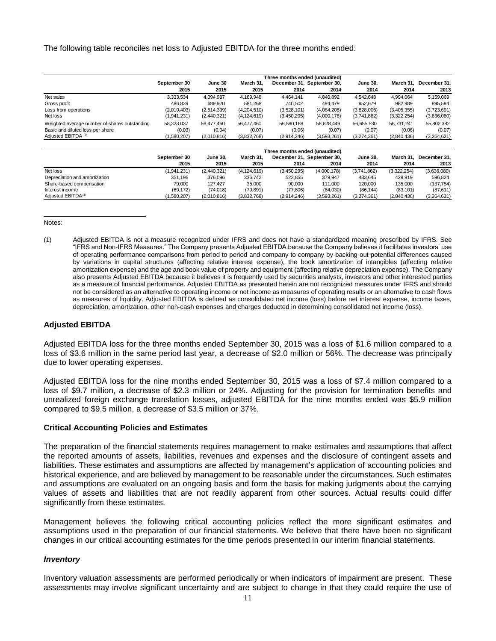The following table reconciles net loss to Adjusted EBITDA for the three months ended:

|                                               | Three months ended (unaudited) |             |               |             |                            |                 |             |              |
|-----------------------------------------------|--------------------------------|-------------|---------------|-------------|----------------------------|-----------------|-------------|--------------|
|                                               | September 30                   | June 30     | March 31.     |             | December 31, September 30, | <b>June 30,</b> | March 31.   | December 31. |
|                                               | 2015                           | 2015        | 2015          | 2014        | 2014                       | 2014            | 2014        | 2013         |
| Net sales                                     | 3,333,534                      | 4.094.987   | 4.169.948     | 4.464.141   | 4.840.892                  | 4.542.648       | 4.994.064   | 5.159.069    |
| Gross profit                                  | 486.839                        | 689.920     | 581.268       | 740.502     | 494.479                    | 952.679         | 982.989     | 895.594      |
| Loss from operations                          | (2,010,403)                    | (2,514,339) | (4,204,510)   | (3,528,101) | (4,084,208)                | (3,828,006)     | (3,405,355) | (3,723,691)  |
| Net loss                                      | (1,941,231)                    | (2,440,321) | (4, 124, 619) | (3,450,295) | (4,000,178)                | (3,741,862)     | (3,322,254) | (3,636,080)  |
| Weighted average number of shares outstanding | 58.323.037                     | 56.477.460  | 56.477.460    | 56.580.168  | 56.628.449                 | 56.655.530      | 56.731.241  | 55,802,382   |
| Basic and diluted loss per share              | (0.03)                         | (0.04)      | (0.07)        | (0.06)      | (0.07)                     | (0.07)          | (0.06)      | (0.07)       |
| Adjusted EBITDA <sup>(1)</sup>                | (1,580,207)                    | (2,010,816) | (3,832,768)   | (2,914,246) | (3,593,261)                | (3,274,361)     | (2,840,436) | (3,264,621)  |

|                                | Three months ended (unaudited) |                 |             |             |                            |                 |             |              |
|--------------------------------|--------------------------------|-----------------|-------------|-------------|----------------------------|-----------------|-------------|--------------|
|                                | September 30                   | <b>June 30.</b> | March 31.   |             | December 31. September 30. | <b>June 30.</b> | March 31.   | December 31. |
|                                | 2015                           | 2015            | 2015        | 2014        | 2014                       | 2014            | 2014        | 2013         |
| Net loss                       | (1.941.231)                    | (2.440.321)     | (4.124.619) | (3,450,295) | (4,000,178)                | (3.741.862)     | (3.322.254) | (3,636,080)  |
| Depreciation and amortization  | 351.196                        | 376,096         | 336,742     | 523,855     | 379.947                    | 433,645         | 429,919     | 596.824      |
| Share-based compensation       | 79.000                         | 127.427         | 35,000      | 90.000      | 111.000                    | 120,000         | 135.000     | (137, 754)   |
| Interest income                | (69, 172)                      | (74.018)        | (79, 891)   | (77.806)    | (84,030)                   | (86, 144)       | (83.101)    | (87, 611)    |
| Adiusted EBITDA <sup>(1)</sup> | 1,580,207)                     | (2,010,816)     | (3,832,768) | (2.914.246) | (3,593,261)                | (3.274.361)     | (2,840,436) | (3,264,621)  |

Notes:

(1) Adjusted EBITDA is not a measure recognized under IFRS and does not have a standardized meaning prescribed by IFRS. See "IFRS and Non-IFRS Measures." The Company presents Adjusted EBITDA because the Company believes it facilitates investors' use of operating performance comparisons from period to period and company to company by backing out potential differences caused by variations in capital structures (affecting relative interest expense), the book amortization of intangibles (affecting relative amortization expense) and the age and book value of property and equipment (affecting relative depreciation expense). The Company also presents Adjusted EBITDA because it believes it is frequently used by securities analysts, investors and other interested parties as a measure of financial performance. Adjusted EBITDA as presented herein are not recognized measures under IFRS and should not be considered as an alternative to operating income or net income as measures of operating results or an alternative to cash flows as measures of liquidity. Adjusted EBITDA is defined as consolidated net income (loss) before net interest expense, income taxes, depreciation, amortization, other non-cash expenses and charges deducted in determining consolidated net income (loss). **Between the counter of the counter of the uncertainty and the use of**  $\frac{1}{2}$  **and**  $\frac{1}{2}$  **and**  $\frac{1}{2}$  **and**  $\frac{1}{2}$  **and**  $\frac{1}{2}$  **and**  $\frac{1}{2}$  **and**  $\frac{1}{2}$  **and**  $\frac{1}{2}$  **and**  $\frac{1}{2}$  **and**  $\frac{1}{2}$  **and**  $\frac{1}{2}$  **a** 

# **Adjusted EBITDA**

Adjusted EBITDA loss for the three months ended September 30, 2015 was a loss of \$1.6 million compared to a loss of \$3.6 million in the same period last year, a decrease of \$2.0 million or 56%. The decrease was principally due to lower operating expenses.

Adjusted EBITDA loss for the nine months ended September 30, 2015 was a loss of \$7.4 million compared to a loss of \$9.7 million, a decrease of \$2.3 million or 24%. Adjusting for the provision for termination benefits and unrealized foreign exchange translation losses, adjusted EBITDA for the nine months ended was \$5.9 million compared to \$9.5 million, a decrease of \$3.5 million or 37%.

## **Critical Accounting Policies and Estimates**

The preparation of the financial statements requires management to make estimates and assumptions that affect the reported amounts of assets, liabilities, revenues and expenses and the disclosure of contingent assets and liabilities. These estimates and assumptions are affected by management's application of accounting policies and historical experience, and are believed by management to be reasonable under the circumstances. Such estimates and assumptions are evaluated on an ongoing basis and form the basis for making judgments about the carrying values of assets and liabilities that are not readily apparent from other sources. Actual results could differ significantly from these estimates.

Management believes the following critical accounting policies reflect the more significant estimates and assumptions used in the preparation of our financial statements. We believe that there have been no significant changes in our critical accounting estimates for the time periods presented in our interim financial statements.

## *Inventory*

Inventory valuation assessments are performed periodically or when indicators of impairment are present. These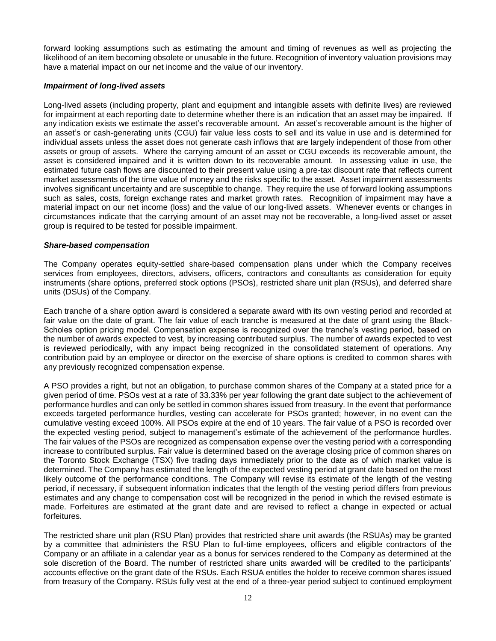forward looking assumptions such as estimating the amount and timing of revenues as well as projecting the likelihood of an item becoming obsolete or unusable in the future. Recognition of inventory valuation provisions may have a material impact on our net income and the value of our inventory.

## *Impairment of long-lived assets*

Long-lived assets (including property, plant and equipment and intangible assets with definite lives) are reviewed for impairment at each reporting date to determine whether there is an indication that an asset may be impaired. If any indication exists we estimate the asset's recoverable amount. An asset's recoverable amount is the higher of an asset's or cash-generating units (CGU) fair value less costs to sell and its value in use and is determined for individual assets unless the asset does not generate cash inflows that are largely independent of those from other assets or group of assets. Where the carrying amount of an asset or CGU exceeds its recoverable amount, the asset is considered impaired and it is written down to its recoverable amount. In assessing value in use, the estimated future cash flows are discounted to their present value using a pre-tax discount rate that reflects current market assessments of the time value of money and the risks specific to the asset. Asset impairment assessments involves significant uncertainty and are susceptible to change. They require the use of forward looking assumptions such as sales, costs, foreign exchange rates and market growth rates. Recognition of impairment may have a material impact on our net income (loss) and the value of our long-lived assets. Whenever events or changes in circumstances indicate that the carrying amount of an asset may not be recoverable, a long-lived asset or asset group is required to be tested for possible impairment.

# *Share-based compensation*

The Company operates equity-settled share-based compensation plans under which the Company receives services from employees, directors, advisers, officers, contractors and consultants as consideration for equity instruments (share options, preferred stock options (PSOs), restricted share unit plan (RSUs), and deferred share units (DSUs) of the Company.

Each tranche of a share option award is considered a separate award with its own vesting period and recorded at fair value on the date of grant. The fair value of each tranche is measured at the date of grant using the Black-Scholes option pricing model. Compensation expense is recognized over the tranche's vesting period, based on the number of awards expected to vest, by increasing contributed surplus. The number of awards expected to vest is reviewed periodically, with any impact being recognized in the consolidated statement of operations. Any contribution paid by an employee or director on the exercise of share options is credited to common shares with any previously recognized compensation expense.

A PSO provides a right, but not an obligation, to purchase common shares of the Company at a stated price for a given period of time. PSOs vest at a rate of 33.33% per year following the grant date subject to the achievement of performance hurdles and can only be settled in common shares issued from treasury. In the event that performance exceeds targeted performance hurdles, vesting can accelerate for PSOs granted; however, in no event can the cumulative vesting exceed 100%. All PSOs expire at the end of 10 years. The fair value of a PSO is recorded over the expected vesting period, subject to management's estimate of the achievement of the performance hurdles. The fair values of the PSOs are recognized as compensation expense over the vesting period with a corresponding increase to contributed surplus. Fair value is determined based on the average closing price of common shares on the Toronto Stock Exchange (TSX) five trading days immediately prior to the date as of which market value is determined. The Company has estimated the length of the expected vesting period at grant date based on the most likely outcome of the performance conditions. The Company will revise its estimate of the length of the vesting period, if necessary, if subsequent information indicates that the length of the vesting period differs from previous estimates and any change to compensation cost will be recognized in the period in which the revised estimate is made. Forfeitures are estimated at the grant date and are revised to reflect a change in expected or actual forfeitures.

The restricted share unit plan (RSU Plan) provides that restricted share unit awards (the RSUAs) may be granted by a committee that administers the RSU Plan to full-time employees, officers and eligible contractors of the Company or an affiliate in a calendar year as a bonus for services rendered to the Company as determined at the sole discretion of the Board. The number of restricted share units awarded will be credited to the participants' accounts effective on the grant date of the RSUs. Each RSUA entitles the holder to receive common shares issued from treasury of the Company. RSUs fully vest at the end of a three-year period subject to continued employment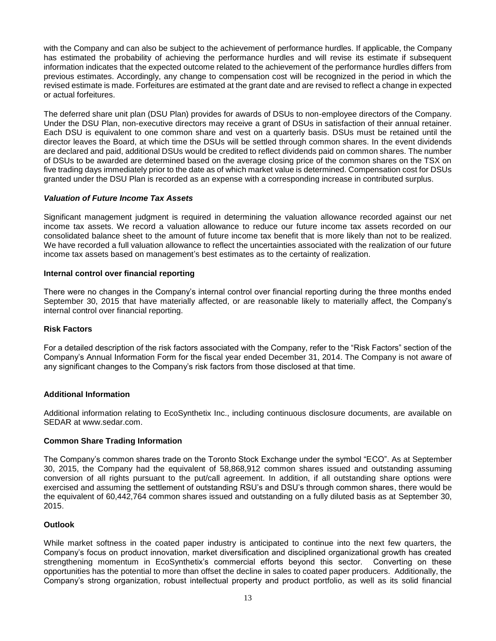with the Company and can also be subject to the achievement of performance hurdles. If applicable, the Company has estimated the probability of achieving the performance hurdles and will revise its estimate if subsequent information indicates that the expected outcome related to the achievement of the performance hurdles differs from previous estimates. Accordingly, any change to compensation cost will be recognized in the period in which the revised estimate is made. Forfeitures are estimated at the grant date and are revised to reflect a change in expected or actual forfeitures.

The deferred share unit plan (DSU Plan) provides for awards of DSUs to non-employee directors of the Company. Under the DSU Plan, non-executive directors may receive a grant of DSUs in satisfaction of their annual retainer. Each DSU is equivalent to one common share and vest on a quarterly basis. DSUs must be retained until the director leaves the Board, at which time the DSUs will be settled through common shares. In the event dividends are declared and paid, additional DSUs would be credited to reflect dividends paid on common shares. The number of DSUs to be awarded are determined based on the average closing price of the common shares on the TSX on five trading days immediately prior to the date as of which market value is determined. Compensation cost for DSUs granted under the DSU Plan is recorded as an expense with a corresponding increase in contributed surplus.

# *Valuation of Future Income Tax Assets*

Significant management judgment is required in determining the valuation allowance recorded against our net income tax assets. We record a valuation allowance to reduce our future income tax assets recorded on our consolidated balance sheet to the amount of future income tax benefit that is more likely than not to be realized. We have recorded a full valuation allowance to reflect the uncertainties associated with the realization of our future income tax assets based on management's best estimates as to the certainty of realization.

## **Internal control over financial reporting**

There were no changes in the Company's internal control over financial reporting during the three months ended September 30, 2015 that have materially affected, or are reasonable likely to materially affect, the Company's internal control over financial reporting.

## **Risk Factors**

For a detailed description of the risk factors associated with the Company, refer to the "Risk Factors" section of the Company's Annual Information Form for the fiscal year ended December 31, 2014. The Company is not aware of any significant changes to the Company's risk factors from those disclosed at that time.

## **Additional Information**

Additional information relating to EcoSynthetix Inc., including continuous disclosure documents, are available on SEDAR at www.sedar.com.

## **Common Share Trading Information**

The Company's common shares trade on the Toronto Stock Exchange under the symbol "ECO". As at September 30, 2015, the Company had the equivalent of 58,868,912 common shares issued and outstanding assuming conversion of all rights pursuant to the put/call agreement. In addition, if all outstanding share options were exercised and assuming the settlement of outstanding RSU's and DSU's through common shares, there would be the equivalent of 60,442,764 common shares issued and outstanding on a fully diluted basis as at September 30, 2015.

## **Outlook**

While market softness in the coated paper industry is anticipated to continue into the next few quarters, the Company's focus on product innovation, market diversification and disciplined organizational growth has created strengthening momentum in EcoSynthetix's commercial efforts beyond this sector. Converting on these opportunities has the potential to more than offset the decline in sales to coated paper producers. Additionally, the Company's strong organization, robust intellectual property and product portfolio, as well as its solid financial